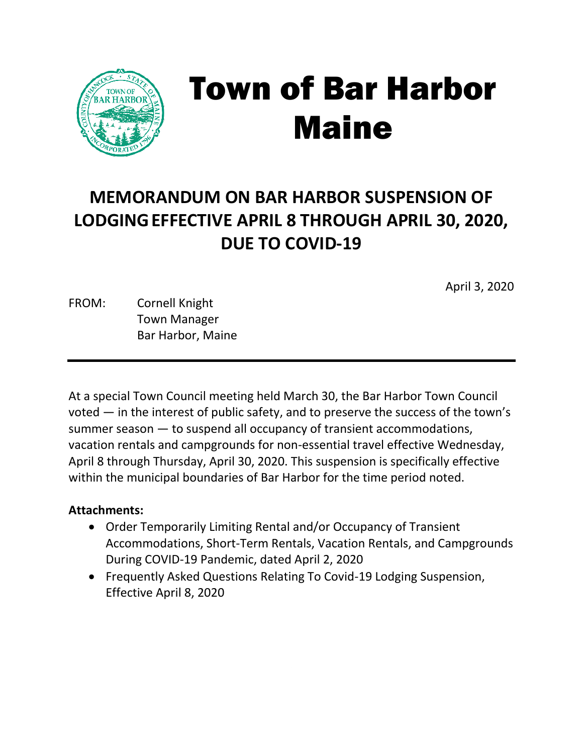

# Town of Bar Harbor Maine

# **MEMORANDUM ON BAR HARBOR SUSPENSION OF LODGINGEFFECTIVE APRIL 8 THROUGH APRIL 30, 2020, DUE TO COVID-19**

April 3, 2020

FROM: Cornell Knight Town Manager Bar Harbor, Maine

At a special Town Council meeting held March 30, the Bar Harbor Town Council voted — in the interest of public safety, and to preserve the success of the town's summer season — to suspend all occupancy of transient accommodations, vacation rentals and campgrounds for non-essential travel effective Wednesday, April 8 through Thursday, April 30, 2020. This suspension is specifically effective within the municipal boundaries of Bar Harbor for the time period noted.

### **Attachments:**

- Order Temporarily Limiting Rental and/or Occupancy of Transient Accommodations, Short-Term Rentals, Vacation Rentals, and Campgrounds During COVID-19 Pandemic, dated April 2, 2020
- Frequently Asked Questions Relating To Covid-19 Lodging Suspension, Effective April 8, 2020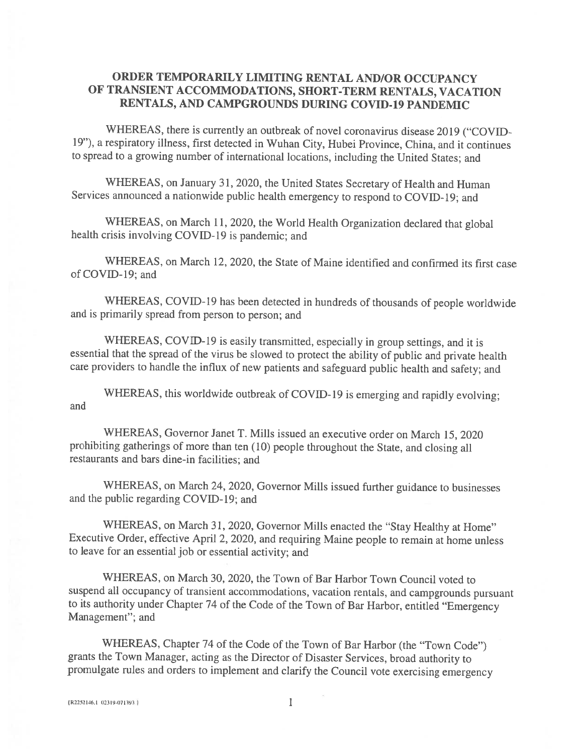### ORDER TEMPORARILY LIMITING RENTAL AND/OR OCCUPANCY OF TRANSIENT ACCOMMODATIONS, SHORT-TERM RENTALS, VACATION RENTALS, AND CAMPGROUNDS DURING COVID-19 PANDEMIC

WHEREAS, there is currently an outbreak of novel coronavirus disease 2019 ("COVID-19"), a respiratory illness, first detected in Wuhan City, Hubei Province, China, and it continues to spread to a growing number of international locations, including the United States; and

WHEREAS, on January 31, 2020, the United States Secretary of Health and Human Services announced a nationwide public health emergency to respond to COVID-19; and

WHEREAS, on March 11, 2020, the World Health Organization declared that global health crisis involving COVID-19 is pandemic; and

WHEREAS, on March 12, 2020, the State of Maine identified and confirmed its first case of COVID-19; and

WHEREAS, COVID-19 has been detected in hundreds of thousands of people worldwide and is primarily spread from person to person; and

WHEREAS, COVID-19 is easily transmitted, especially in group settings, and it is essential that the spread of the virus be slowed to protect the ability of public and private health care providers to handle the influx of new patients and safeguard public health and safety; and

WHEREAS, this worldwide outbreak of COVID-19 is emerging and rapidly evolving; and

WHEREAS, Governor Janet T. Mills issued an executive order on March 15, 2020 prohibiting gatherings of more than ten (10) people throughout the State, and closing all restaurants and bars dine-in facilities; and

WHEREAS, on March 24, 2020, Governor Mills issued further guidance to businesses and the public regarding COVID-19; and

WHEREAS, on March 31, 2020, Governor Mills enacted the "Stay Healthy at Home" Executive Order, effective April 2, 2020, and requiring Maine people to remain at home unless to leave for an essential job or essential activity; and

WHEREAS, on March 30, 2020, the Town of Bar Harbor Town Council voted to suspend all occupancy of transient accommodations, vacation rentals, and campgrounds pursuant to its authority under Chapter 74 of the Code of the Town of Bar Harbor, entitled "Emergency Management"; and

WHEREAS, Chapter 74 of the Code of the Town of Bar Harbor (the "Town Code") grants the Town Manager, acting as the Director of Disaster Services, broad authority to promulgate rules and orders to implement and clarify the Council vote exercising emergency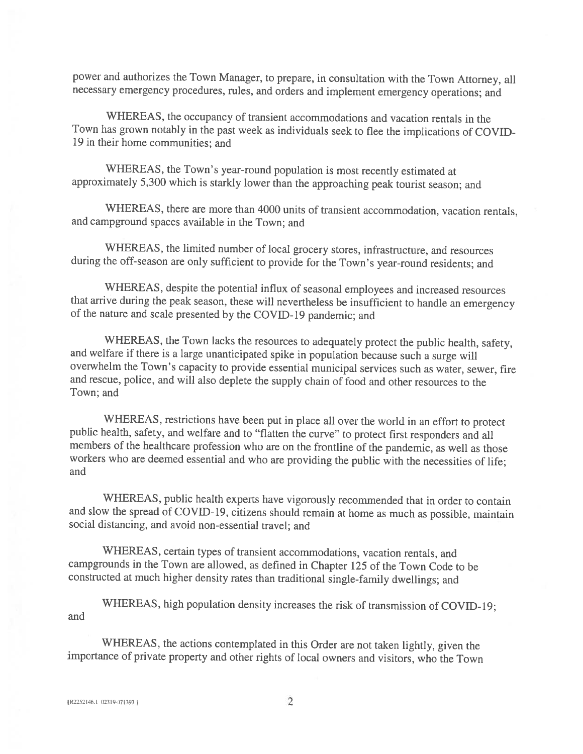power and authorizes the Town Manager, to prepare, in consultation with the Town Attorney, all necessary emergency procedures, rules, and orders and implement emergency operations; and

WHEREAS, the occupancy of transient accommodations and vacation rentals in the Town has grown notably in the past week as individuals seek to flee the implications of COVID-19 in their home communities; and

WHEREAS, the Town's year-round population is most recently estimated at approximately 5,300 which is starkly lower than the approaching peak tourist season; and

WHEREAS, there are more than 4000 units of transient accommodation, vacation rentals, and campground spaces available in the Town; and

WHEREAS, the limited number of local grocery stores, infrastructure, and resources during the off-season are only sufficient to provide for the Town's year-round residents; and

WHEREAS, despite the potential influx of seasonal employees and increased resources that arrive during the peak season, these will nevertheless be insufficient to handle an emergency of the nature and scale presented by the COVID-19 pandemic: and

WHEREAS, the Town lacks the resources to adequately protect the public health, safety, and welfare if there is a large unanticipated spike in population because such a surge will overwhelm the Town's capacity to provide essential municipal services such as water, sewer, fire and rescue, police, and will also deplete the supply chain of food and other resources to the Town; and

WHEREAS, restrictions have been put in place all over the world in an effort to protect public health, safety, and welfare and to "flatten the curve" to protect first responders and all members of the healthcare profession who are on the frontline of the pandemic, as well as those workers who are deemed essential and who are providing the public with the necessities of life; and

WHEREAS, public health experts have vigorously recommended that in order to contain and slow the spread of COVID-19, citizens should remain at home as much as possible, maintain social distancing, and avoid non-essential travel; and

WHEREAS, certain types of transient accommodations, vacation rentals, and campgrounds in the Town are allowed, as defined in Chapter 125 of the Town Code to be constructed at much higher density rates than traditional single-family dwellings; and

WHEREAS, high population density increases the risk of transmission of COVID-19; and

WHEREAS, the actions contemplated in this Order are not taken lightly, given the importance of private property and other rights of local owners and visitors, who the Town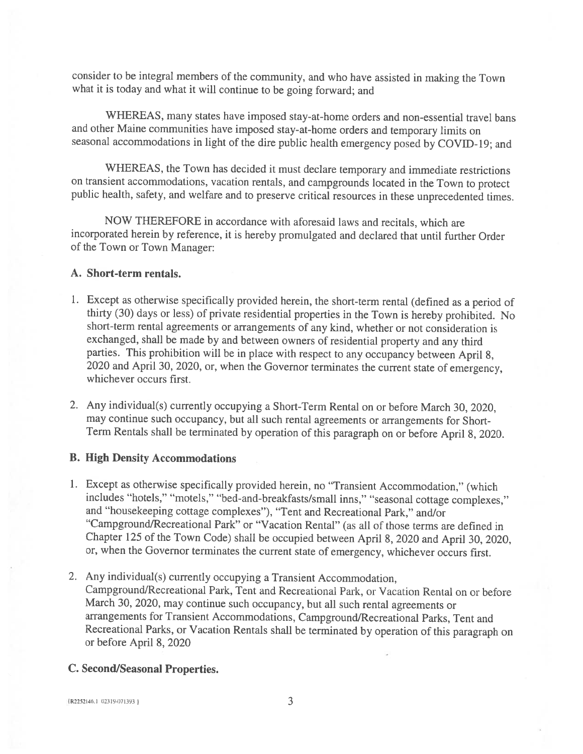consider to be integral members of the community, and who have assisted in making the Town what it is today and what it will continue to be going forward; and

WHEREAS, many states have imposed stay-at-home orders and non-essential travel bans and other Maine communities have imposed stay-at-home orders and temporary limits on seasonal accommodations in light of the dire public health emergency posed by COVID-19; and

WHEREAS, the Town has decided it must declare temporary and immediate restrictions on transient accommodations, vacation rentals, and campgrounds located in the Town to protect public health, safety, and welfare and to preserve critical resources in these unprecedented times.

NOW THEREFORE in accordance with aforesaid laws and recitals, which are incorporated herein by reference, it is hereby promulgated and declared that until further Order of the Town or Town Manager:

### A. Short-term rentals.

- 1. Except as otherwise specifically provided herein, the short-term rental (defined as a period of thirty (30) days or less) of private residential properties in the Town is hereby prohibited. No short-term rental agreements or arrangements of any kind, whether or not consideration is exchanged, shall be made by and between owners of residential property and any third parties. This prohibition will be in place with respect to any occupancy between April 8, 2020 and April 30, 2020, or, when the Governor terminates the current state of emergency, whichever occurs first.
- 2. Any individual(s) currently occupying a Short-Term Rental on or before March 30, 2020, may continue such occupancy, but all such rental agreements or arrangements for Short-Term Rentals shall be terminated by operation of this paragraph on or before April 8, 2020.

#### **B. High Density Accommodations**

- 1. Except as otherwise specifically provided herein, no "Transient Accommodation," (which includes "hotels," "motels," "bed-and-breakfasts/small inns," "seasonal cottage complexes." and "housekeeping cottage complexes"), "Tent and Recreational Park," and/or "Campground/Recreational Park" or "Vacation Rental" (as all of those terms are defined in Chapter 125 of the Town Code) shall be occupied between April 8, 2020 and April 30, 2020, or, when the Governor terminates the current state of emergency, whichever occurs first.
- 2. Any individual(s) currently occupying a Transient Accommodation, Campground/Recreational Park, Tent and Recreational Park, or Vacation Rental on or before March 30, 2020, may continue such occupancy, but all such rental agreements or arrangements for Transient Accommodations, Campground/Recreational Parks, Tent and Recreational Parks, or Vacation Rentals shall be terminated by operation of this paragraph on or before April 8, 2020

#### **C. Second/Seasonal Properties.**

(R2252146.1 02319-071393)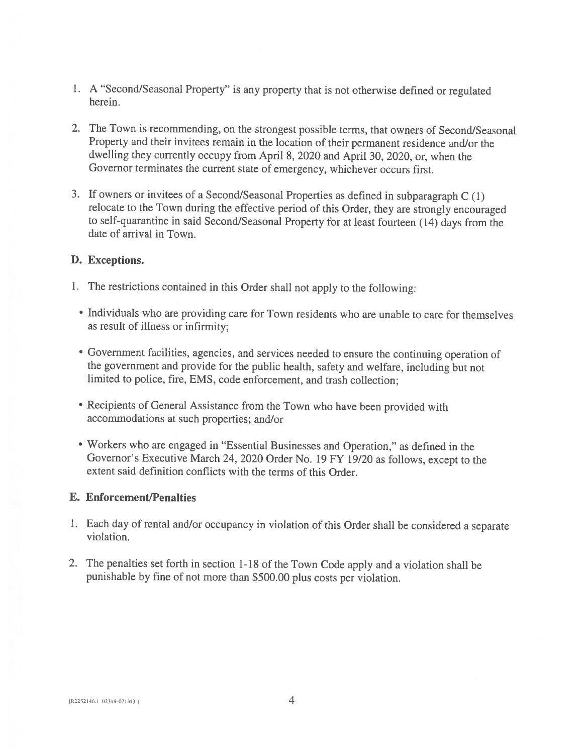- 1. A "Second/Seasonal Property" is any property that is not otherwise defined or regulated herein.
- 2. The Town is recommending, on the strongest possible terms, that owners of Second/Seasonal Property and their invitees remain in the location of their permanent residence and/or the dwelling they currently occupy from April 8, 2020 and April 30, 2020, or, when the Governor terminates the current state of emergency, whichever occurs first.
- 3. If owners or invitees of a Second/Seasonal Properties as defined in subparagraph C (1) relocate to the Town during the effective period of this Order, they are strongly encouraged to self-quarantine in said Second/Seasonal Property for at least fourteen (14) days from the date of arrival in Town.

### D. Exceptions.

- 1. The restrictions contained in this Order shall not apply to the following:
	- Individuals who are providing care for Town residents who are unable to care for themselves as result of illness or infirmity;
	- Government facilities, agencies, and services needed to ensure the continuing operation of the government and provide for the public health, safety and welfare, including but not limited to police, fire, EMS, code enforcement, and trash collection;
	- Recipients of General Assistance from the Town who have been provided with accommodations at such properties; and/or
	- Workers who are engaged in "Essential Businesses and Operation," as defined in the Governor's Executive March 24, 2020 Order No. 19 FY 19/20 as follows, except to the extent said definition conflicts with the terms of this Order.

### **E. Enforcement/Penalties**

- 1. Each day of rental and/or occupancy in violation of this Order shall be considered a separate violation.
- 2. The penalties set forth in section 1-18 of the Town Code apply and a violation shall be punishable by fine of not more than \$500.00 plus costs per violation.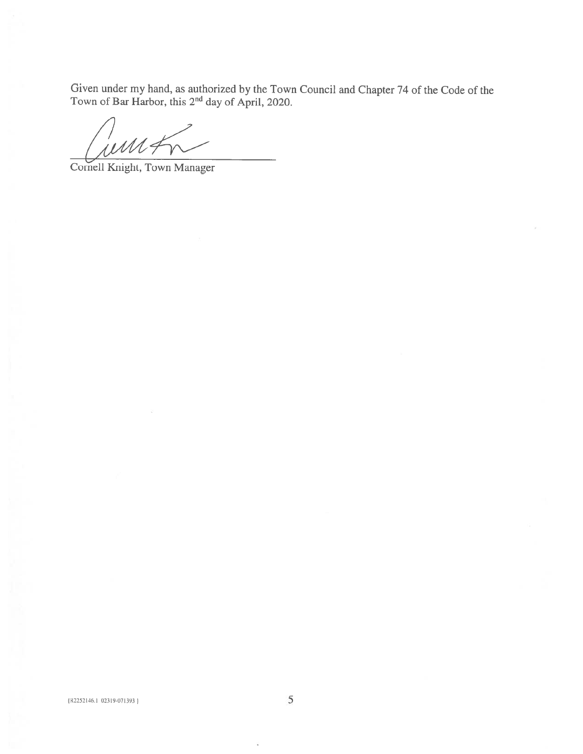Given under my hand, as authorized by the Town Council and Chapter 74 of the Code of the Town of Bar Harbor, this  $2^{nd}$  day of April, 2020.

imi

Cornell Knight, Town Manager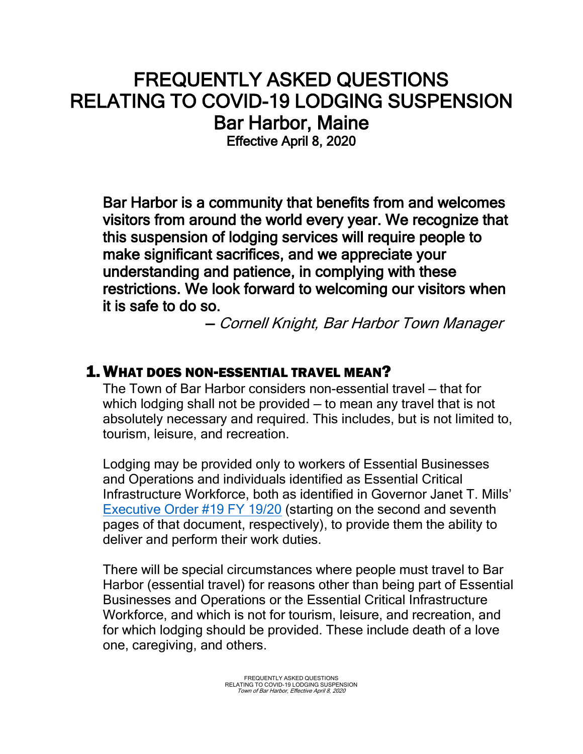# FREQUENTLY ASKED QUESTIONS RELATING TO COVID-19 LODGING SUSPENSION Bar Harbor, Maine

Effective April 8, 2020

Bar Harbor is a community that benefits from and welcomes visitors from around the world every year. We recognize that this suspension of lodging services will require people to make significant sacrifices, and we appreciate your understanding and patience, in complying with these restrictions. We look forward to welcoming our visitors when it is safe to do so.

— Cornell Knight, Bar Harbor Town Manager

# 1.WHAT DOES NON-ESSENTIAL TRAVEL MEAN?

The Town of Bar Harbor considers non-essential travel — that for which lodging shall not be provided — to mean any travel that is not absolutely necessary and required. This includes, but is not limited to, tourism, leisure, and recreation.

Lodging may be provided only to workers of Essential Businesses and Operations and individuals identified as Essential Critical Infrastructure Workforce, both as identified in Governor Janet T. Mills' [Executive Order #19 FY 19/20](https://www.maine.gov/governor/mills/sites/maine.gov.governor.mills/files/inline-files/An%20Order%20Regarding%20Essential%20Businesses%20and%20Operations%20_0.pdf) (starting on the second and seventh pages of that document, respectively), to provide them the ability to deliver and perform their work duties.

There will be special circumstances where people must travel to Bar Harbor (essential travel) for reasons other than being part of Essential Businesses and Operations or the Essential Critical Infrastructure Workforce, and which is not for tourism, leisure, and recreation, and for which lodging should be provided. These include death of a love one, caregiving, and others.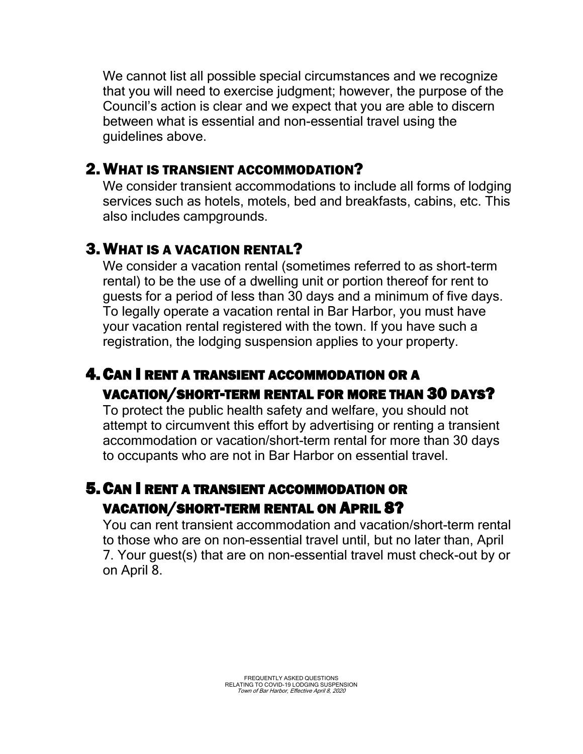We cannot list all possible special circumstances and we recognize that you will need to exercise judgment; however, the purpose of the Council's action is clear and we expect that you are able to discern between what is essential and non-essential travel using the guidelines above.

### 2.WHAT IS TRANSIENT ACCOMMODATION?

We consider transient accommodations to include all forms of lodging services such as hotels, motels, bed and breakfasts, cabins, etc. This also includes campgrounds.

# 3.WHAT IS A VACATION RENTAL?

We consider a vacation rental (sometimes referred to as short-term rental) to be the use of a dwelling unit or portion thereof for rent to guests for a period of less than 30 days and a minimum of five days. To legally operate a vacation rental in Bar Harbor, you must have your vacation rental registered with the town. If you have such a registration, the lodging suspension applies to your property.

# 4.CAN I RENT A TRANSIENT ACCOMMODATION OR A VACATION/SHORT-TERM RENTAL FOR MORE THAN 30 DAYS?

To protect the public health safety and welfare, you should not attempt to circumvent this effort by advertising or renting a transient accommodation or vacation/short-term rental for more than 30 days to occupants who are not in Bar Harbor on essential travel.

# 5.CAN I RENT A TRANSIENT ACCOMMODATION OR VACATION/SHORT-TERM RENTAL ON APRIL 8?

You can rent transient accommodation and vacation/short-term rental to those who are on non-essential travel until, but no later than, April 7. Your guest(s) that are on non-essential travel must check-out by or on April 8.